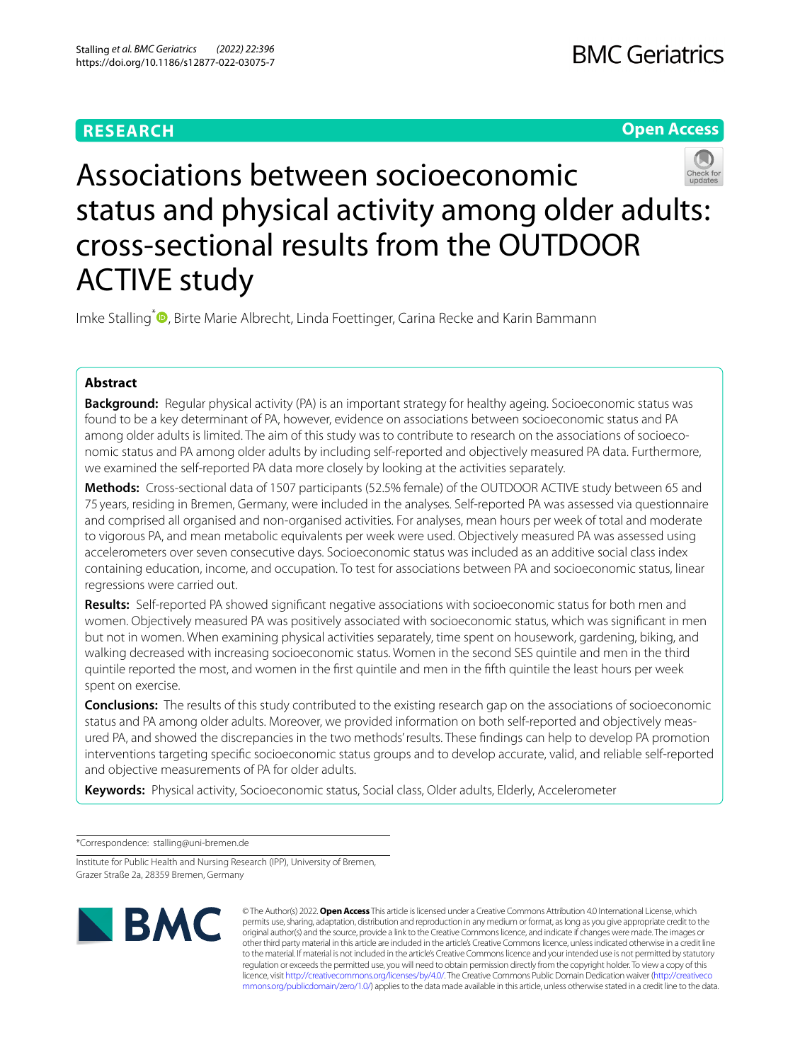# **RESEARCH**

# **Open Access**



# Associations between socioeconomic status and physical activity among older adults: cross-sectional results from the OUTDOOR ACTIVE study

Imke Stalling<sup>[\\*](http://orcid.org/0000-0002-5586-6229)</sup> **D**, Birte Marie Albrecht, Linda Foettinger, Carina Recke and Karin Bammann

## **Abstract**

**Background:** Regular physical activity (PA) is an important strategy for healthy ageing. Socioeconomic status was found to be a key determinant of PA, however, evidence on associations between socioeconomic status and PA among older adults is limited. The aim of this study was to contribute to research on the associations of socioeconomic status and PA among older adults by including self-reported and objectively measured PA data. Furthermore, we examined the self-reported PA data more closely by looking at the activities separately.

**Methods:** Cross-sectional data of 1507 participants (52.5% female) of the OUTDOOR ACTIVE study between 65 and 75 years, residing in Bremen, Germany, were included in the analyses. Self-reported PA was assessed via questionnaire and comprised all organised and non-organised activities. For analyses, mean hours per week of total and moderate to vigorous PA, and mean metabolic equivalents per week were used. Objectively measured PA was assessed using accelerometers over seven consecutive days. Socioeconomic status was included as an additive social class index containing education, income, and occupation. To test for associations between PA and socioeconomic status, linear regressions were carried out.

**Results:** Self-reported PA showed signifcant negative associations with socioeconomic status for both men and women. Objectively measured PA was positively associated with socioeconomic status, which was signifcant in men but not in women. When examining physical activities separately, time spent on housework, gardening, biking, and walking decreased with increasing socioeconomic status. Women in the second SES quintile and men in the third quintile reported the most, and women in the frst quintile and men in the ffth quintile the least hours per week spent on exercise.

**Conclusions:** The results of this study contributed to the existing research gap on the associations of socioeconomic status and PA among older adults. Moreover, we provided information on both self-reported and objectively measured PA, and showed the discrepancies in the two methods' results. These fndings can help to develop PA promotion interventions targeting specifc socioeconomic status groups and to develop accurate, valid, and reliable self-reported and objective measurements of PA for older adults.

**Keywords:** Physical activity, Socioeconomic status, Social class, Older adults, Elderly, Accelerometer

\*Correspondence: stalling@uni-bremen.de

Institute for Public Health and Nursing Research (IPP), University of Bremen, Grazer Straße 2a, 28359 Bremen, Germany



© The Author(s) 2022. **Open Access** This article is licensed under a Creative Commons Attribution 4.0 International License, which permits use, sharing, adaptation, distribution and reproduction in any medium or format, as long as you give appropriate credit to the original author(s) and the source, provide a link to the Creative Commons licence, and indicate if changes were made. The images or other third party material in this article are included in the article's Creative Commons licence, unless indicated otherwise in a credit line to the material. If material is not included in the article's Creative Commons licence and your intended use is not permitted by statutory regulation or exceeds the permitted use, you will need to obtain permission directly from the copyright holder. To view a copy of this licence, visit [http://creativecommons.org/licenses/by/4.0/.](http://creativecommons.org/licenses/by/4.0/) The Creative Commons Public Domain Dedication waiver ([http://creativeco](http://creativecommons.org/publicdomain/zero/1.0/) [mmons.org/publicdomain/zero/1.0/](http://creativecommons.org/publicdomain/zero/1.0/)) applies to the data made available in this article, unless otherwise stated in a credit line to the data.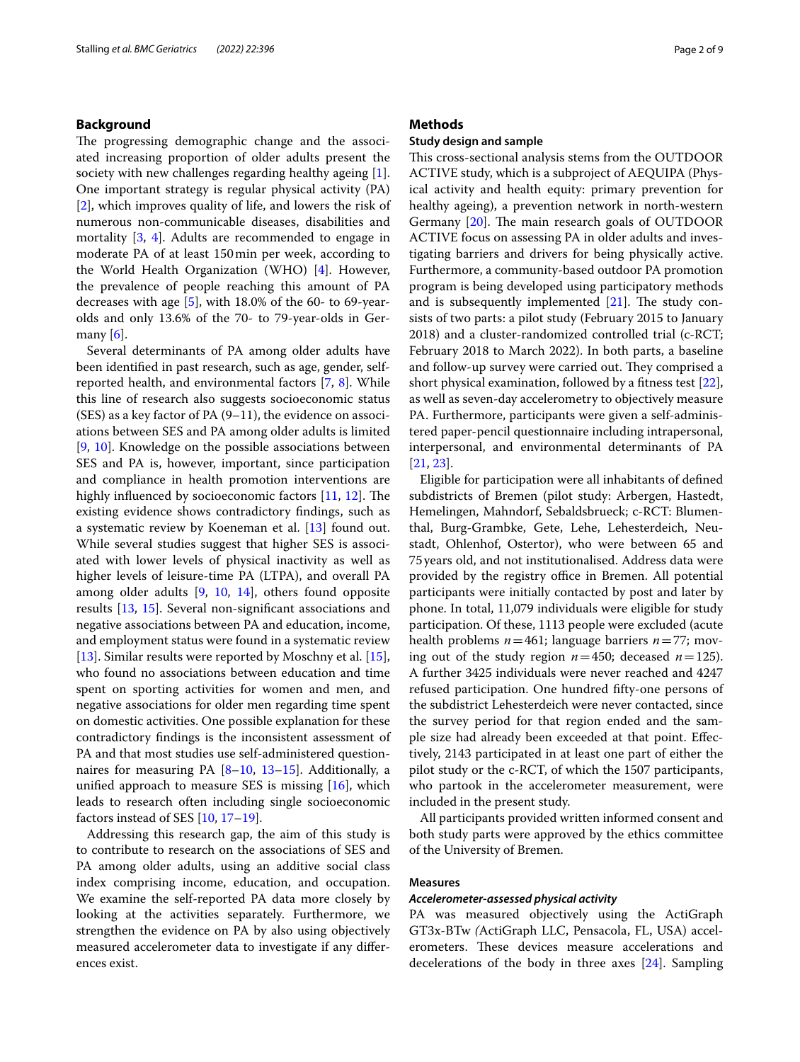## **Background**

The progressing demographic change and the associated increasing proportion of older adults present the society with new challenges regarding healthy ageing [\[1](#page-7-0)]. One important strategy is regular physical activity (PA) [[2\]](#page-7-1), which improves quality of life, and lowers the risk of numerous non-communicable diseases, disabilities and mortality [[3,](#page-7-2) [4\]](#page-7-3). Adults are recommended to engage in moderate PA of at least 150min per week, according to the World Health Organization (WHO) [[4\]](#page-7-3). However, the prevalence of people reaching this amount of PA decreases with age  $[5]$  $[5]$ , with 18.0% of the 60- to 69-yearolds and only 13.6% of the 70- to 79-year-olds in Germany  $[6]$  $[6]$ .

Several determinants of PA among older adults have been identifed in past research, such as age, gender, selfreported health, and environmental factors [[7,](#page-7-6) [8\]](#page-7-7). While this line of research also suggests socioeconomic status (SES) as a key factor of PA (9–11), the evidence on associations between SES and PA among older adults is limited [[9,](#page-7-8) [10](#page-7-9)]. Knowledge on the possible associations between SES and PA is, however, important, since participation and compliance in health promotion interventions are highly influenced by socioeconomic factors  $[11, 12]$  $[11, 12]$  $[11, 12]$  $[11, 12]$ . The existing evidence shows contradictory fndings, such as a systematic review by Koeneman et al. [\[13](#page-7-12)] found out. While several studies suggest that higher SES is associated with lower levels of physical inactivity as well as higher levels of leisure-time PA (LTPA), and overall PA among older adults [[9,](#page-7-8) [10](#page-7-9), [14](#page-7-13)], others found opposite results [\[13](#page-7-12), [15\]](#page-7-14). Several non-signifcant associations and negative associations between PA and education, income, and employment status were found in a systematic review [[13\]](#page-7-12). Similar results were reported by Moschny et al. [\[15](#page-7-14)], who found no associations between education and time spent on sporting activities for women and men, and negative associations for older men regarding time spent on domestic activities. One possible explanation for these contradictory fndings is the inconsistent assessment of PA and that most studies use self-administered questionnaires for measuring PA  $[8-10, 13-15]$  $[8-10, 13-15]$  $[8-10, 13-15]$  $[8-10, 13-15]$  $[8-10, 13-15]$ . Additionally, a unifed approach to measure SES is missing [\[16\]](#page-7-15), which leads to research often including single socioeconomic factors instead of SES [\[10,](#page-7-9) [17](#page-7-16)[–19](#page-7-17)].

Addressing this research gap, the aim of this study is to contribute to research on the associations of SES and PA among older adults, using an additive social class index comprising income, education, and occupation. We examine the self-reported PA data more closely by looking at the activities separately. Furthermore, we strengthen the evidence on PA by also using objectively measured accelerometer data to investigate if any diferences exist.

## **Methods**

## **Study design and sample**

This cross-sectional analysis stems from the OUTDOOR ACTIVE study, which is a subproject of AEQUIPA (Physical activity and health equity: primary prevention for healthy ageing), a prevention network in north-western Germany  $[20]$  $[20]$ . The main research goals of OUTDOOR ACTIVE focus on assessing PA in older adults and investigating barriers and drivers for being physically active. Furthermore, a community-based outdoor PA promotion program is being developed using participatory methods and is subsequently implemented  $[21]$  $[21]$ . The study consists of two parts: a pilot study (February 2015 to January 2018) and a cluster-randomized controlled trial (c-RCT; February 2018 to March 2022). In both parts, a baseline and follow-up survey were carried out. They comprised a short physical examination, followed by a ftness test [\[22](#page-7-20)], as well as seven-day accelerometry to objectively measure PA. Furthermore, participants were given a self-administered paper-pencil questionnaire including intrapersonal, interpersonal, and environmental determinants of PA [[21,](#page-7-19) [23](#page-7-21)].

Eligible for participation were all inhabitants of defned subdistricts of Bremen (pilot study: Arbergen, Hastedt, Hemelingen, Mahndorf, Sebaldsbrueck; c-RCT: Blumenthal, Burg-Grambke, Gete, Lehe, Lehesterdeich, Neustadt, Ohlenhof, Ostertor), who were between 65 and 75years old, and not institutionalised. Address data were provided by the registry office in Bremen. All potential participants were initially contacted by post and later by phone. In total, 11,079 individuals were eligible for study participation. Of these, 1113 people were excluded (acute health problems *n*=461; language barriers *n*=77; moving out of the study region  $n=450$ ; deceased  $n=125$ ). A further 3425 individuals were never reached and 4247 refused participation. One hundred ffty-one persons of the subdistrict Lehesterdeich were never contacted, since the survey period for that region ended and the sample size had already been exceeded at that point. Efectively, 2143 participated in at least one part of either the pilot study or the c-RCT, of which the 1507 participants, who partook in the accelerometer measurement, were included in the present study.

All participants provided written informed consent and both study parts were approved by the ethics committee of the University of Bremen.

#### **Measures**

## *Accelerometer‑assessed physical activity*

PA was measured objectively using the ActiGraph GT3x-BTw *(*ActiGraph LLC, Pensacola, FL, USA) accelerometers. These devices measure accelerations and decelerations of the body in three axes [[24\]](#page-8-0). Sampling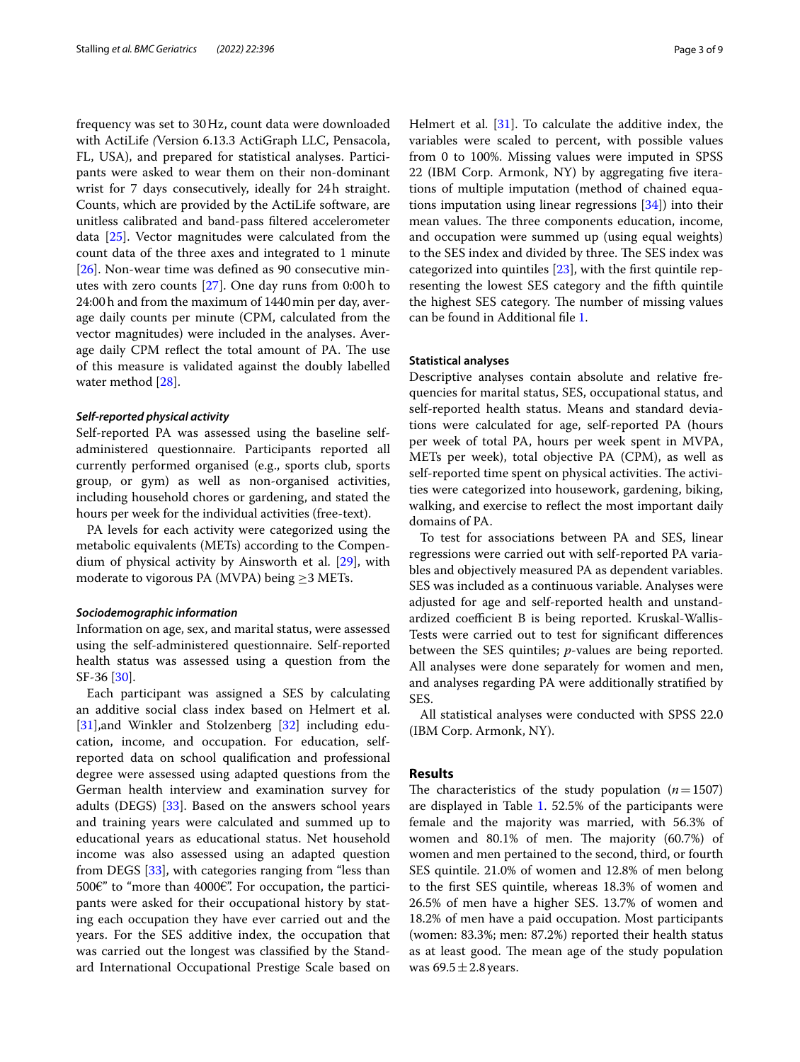frequency was set to 30Hz, count data were downloaded with ActiLife *(*Version 6.13.3 ActiGraph LLC, Pensacola, FL, USA), and prepared for statistical analyses. Participants were asked to wear them on their non-dominant wrist for 7 days consecutively, ideally for 24h straight. Counts, which are provided by the ActiLife software, are unitless calibrated and band-pass fltered accelerometer data [\[25](#page-8-1)]. Vector magnitudes were calculated from the count data of the three axes and integrated to 1 minute [[26\]](#page-8-2). Non-wear time was defned as 90 consecutive minutes with zero counts [\[27](#page-8-3)]. One day runs from 0:00h to 24:00h and from the maximum of 1440min per day, average daily counts per minute (CPM, calculated from the vector magnitudes) were included in the analyses. Average daily CPM reflect the total amount of PA. The use of this measure is validated against the doubly labelled water method [\[28](#page-8-4)].

#### *Self‑reported physical activity*

Self-reported PA was assessed using the baseline selfadministered questionnaire. Participants reported all currently performed organised (e.g., sports club, sports group, or gym) as well as non-organised activities, including household chores or gardening, and stated the hours per week for the individual activities (free-text).

PA levels for each activity were categorized using the metabolic equivalents (METs) according to the Compendium of physical activity by Ainsworth et al. [\[29](#page-8-5)], with moderate to vigorous PA (MVPA) being  $\geq$ 3 METs.

#### *Sociodemographic information*

Information on age, sex, and marital status, were assessed using the self-administered questionnaire. Self-reported health status was assessed using a question from the SF-36 [[30\]](#page-8-6).

Each participant was assigned a SES by calculating an additive social class index based on Helmert et al. [[31\]](#page-8-7), and Winkler and Stolzenberg [\[32](#page-8-8)] including education, income, and occupation. For education, selfreported data on school qualifcation and professional degree were assessed using adapted questions from the German health interview and examination survey for adults (DEGS) [[33\]](#page-8-9). Based on the answers school years and training years were calculated and summed up to educational years as educational status. Net household income was also assessed using an adapted question from DEGS [[33\]](#page-8-9), with categories ranging from "less than 500€" to "more than 4000€". For occupation, the participants were asked for their occupational history by stating each occupation they have ever carried out and the years. For the SES additive index, the occupation that was carried out the longest was classifed by the Standard International Occupational Prestige Scale based on Helmert et al. [\[31](#page-8-7)]. To calculate the additive index, the variables were scaled to percent, with possible values from 0 to 100%. Missing values were imputed in SPSS 22 (IBM Corp. Armonk, NY) by aggregating fve iterations of multiple imputation (method of chained equations imputation using linear regressions [\[34](#page-8-10)]) into their mean values. The three components education, income, and occupation were summed up (using equal weights) to the SES index and divided by three. The SES index was categorized into quintiles [\[23](#page-7-21)], with the frst quintile representing the lowest SES category and the ffth quintile the highest SES category. The number of missing values can be found in Additional fle [1.](#page-7-22)

## **Statistical analyses**

Descriptive analyses contain absolute and relative frequencies for marital status, SES, occupational status, and self-reported health status. Means and standard deviations were calculated for age, self-reported PA (hours per week of total PA, hours per week spent in MVPA, METs per week), total objective PA (CPM), as well as self-reported time spent on physical activities. The activities were categorized into housework, gardening, biking, walking, and exercise to refect the most important daily domains of PA.

To test for associations between PA and SES, linear regressions were carried out with self-reported PA variables and objectively measured PA as dependent variables. SES was included as a continuous variable. Analyses were adjusted for age and self-reported health and unstandardized coefficient B is being reported. Kruskal-Wallis-Tests were carried out to test for signifcant diferences between the SES quintiles; *p*-values are being reported. All analyses were done separately for women and men, and analyses regarding PA were additionally stratifed by SES.

All statistical analyses were conducted with SPSS 22.0 (IBM Corp. Armonk, NY).

## **Results**

The characteristics of the study population  $(n=1507)$ are displayed in Table [1](#page-3-0). 52.5% of the participants were female and the majority was married, with 56.3% of women and  $80.1\%$  of men. The majority  $(60.7\%)$  of women and men pertained to the second, third, or fourth SES quintile. 21.0% of women and 12.8% of men belong to the frst SES quintile, whereas 18.3% of women and 26.5% of men have a higher SES. 13.7% of women and 18.2% of men have a paid occupation. Most participants (women: 83.3%; men: 87.2%) reported their health status as at least good. The mean age of the study population was  $69.5 \pm 2.8$  years.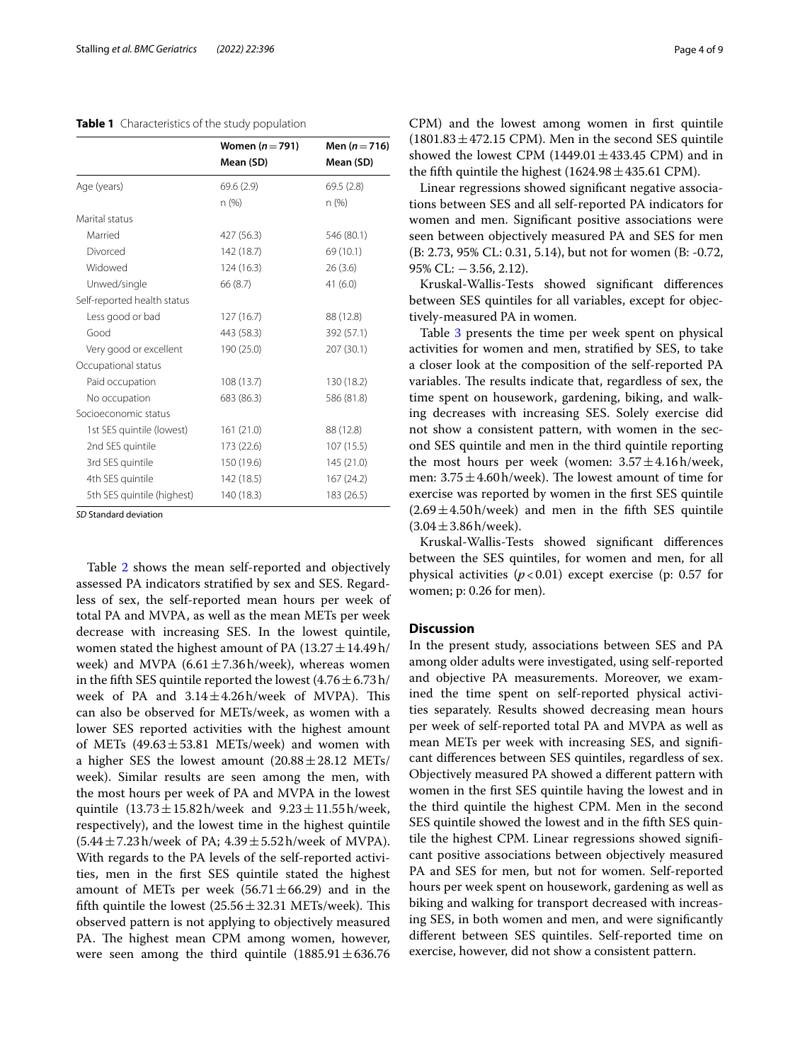#### <span id="page-3-0"></span>**Table 1** Characteristics of the study population

|                             | Women $(n=791)$ | Men $(n = 716)$ |
|-----------------------------|-----------------|-----------------|
|                             | Mean (SD)       | Mean (SD)       |
| Age (years)                 | 69.6(2.9)       | 69.5(2.8)       |
|                             | n(%)            | n (%)           |
| Marital status              |                 |                 |
| Married                     | 427 (56.3)      | 546 (80.1)      |
| Divorced                    | 142 (18.7)      | 69 (10.1)       |
| Widowed                     | 124(16.3)       | 26(3.6)         |
| Unwed/single                | 66 (8.7)        | 41(6.0)         |
| Self-reported health status |                 |                 |
| Less good or bad            | 127(16.7)       | 88 (12.8)       |
| Good                        | 443 (58.3)      | 392 (57.1)      |
| Very good or excellent      | 190 (25.0)      | 207 (30.1)      |
| Occupational status         |                 |                 |
| Paid occupation             | 108 (13.7)      | 130 (18.2)      |
| No occupation               | 683 (86.3)      | 586 (81.8)      |
| Socioeconomic status        |                 |                 |
| 1st SES quintile (lowest)   | 161 (21.0)      | 88 (12.8)       |
| 2nd SES quintile            | 173 (22.6)      | 107 (15.5)      |
| 3rd SES quintile            | 150 (19.6)      | 145 (21.0)      |
| 4th SES quintile            | 142 (18.5)      | 167(24.2)       |
| 5th SES quintile (highest)  | 140 (18.3)      | 183 (26.5)      |

*SD* Standard deviation

Table [2](#page-4-0) shows the mean self-reported and objectively assessed PA indicators stratifed by sex and SES. Regardless of sex, the self-reported mean hours per week of total PA and MVPA, as well as the mean METs per week decrease with increasing SES. In the lowest quintile, women stated the highest amount of PA  $(13.27 \pm 14.49$ h/ week) and MVPA  $(6.61 \pm 7.36)$ h/week), whereas women in the fifth SES quintile reported the lowest  $(4.76 \pm 6.73 \text{ h})$ week of PA and  $3.14 \pm 4.26$  h/week of MVPA). This can also be observed for METs/week, as women with a lower SES reported activities with the highest amount of METs  $(49.63 \pm 53.81$  METs/week) and women with a higher SES the lowest amount  $(20.88 \pm 28.12 \text{ METs})$ week). Similar results are seen among the men, with the most hours per week of PA and MVPA in the lowest quintile  $(13.73 \pm 15.82 \text{ h/week}$  and  $9.23 \pm 11.55 \text{ h/week}$ , respectively), and the lowest time in the highest quintile  $(5.44 \pm 7.23 \text{ h/week of PA}; 4.39 \pm 5.52 \text{ h/week of MVPA}).$ With regards to the PA levels of the self-reported activities, men in the frst SES quintile stated the highest amount of METs per week (56.71 $\pm$ 66.29) and in the fifth quintile the lowest  $(25.56 \pm 32.31 \text{ METs/week})$ . This observed pattern is not applying to objectively measured PA. The highest mean CPM among women, however, were seen among the third quintile  $(1885.91 \pm 636.76$  CPM) and the lowest among women in frst quintile  $(1801.83 \pm 472.15 \text{ CPM})$ . Men in the second SES quintile showed the lowest CPM  $(1449.01 \pm 433.45 \text{ CPM})$  and in the fifth quintile the highest  $(1624.98 \pm 435.61 \text{ CPM})$ .

Linear regressions showed signifcant negative associations between SES and all self-reported PA indicators for women and men. Signifcant positive associations were seen between objectively measured PA and SES for men (B: 2.73, 95% CL: 0.31, 5.14), but not for women (B: -0.72, 95% CL: −3.56, 2.12).

Kruskal-Wallis-Tests showed signifcant diferences between SES quintiles for all variables, except for objectively-measured PA in women.

Table [3](#page-5-0) presents the time per week spent on physical activities for women and men, stratifed by SES, to take a closer look at the composition of the self-reported PA variables. The results indicate that, regardless of sex, the time spent on housework, gardening, biking, and walking decreases with increasing SES. Solely exercise did not show a consistent pattern, with women in the second SES quintile and men in the third quintile reporting the most hours per week (women:  $3.57 \pm 4.16$  h/week, men:  $3.75 \pm 4.60$  h/week). The lowest amount of time for exercise was reported by women in the frst SES quintile  $(2.69 \pm 4.50 \text{ h/week})$  and men in the fifth SES quintile  $(3.04 \pm 3.86 \text{ h/week}).$ 

Kruskal-Wallis-Tests showed signifcant diferences between the SES quintiles, for women and men, for all physical activities  $(p<0.01)$  except exercise (p: 0.57 for women; p: 0.26 for men).

## **Discussion**

In the present study, associations between SES and PA among older adults were investigated, using self-reported and objective PA measurements. Moreover, we examined the time spent on self-reported physical activities separately. Results showed decreasing mean hours per week of self-reported total PA and MVPA as well as mean METs per week with increasing SES, and signifcant diferences between SES quintiles, regardless of sex. Objectively measured PA showed a diferent pattern with women in the frst SES quintile having the lowest and in the third quintile the highest CPM. Men in the second SES quintile showed the lowest and in the ffth SES quintile the highest CPM. Linear regressions showed signifcant positive associations between objectively measured PA and SES for men, but not for women. Self-reported hours per week spent on housework, gardening as well as biking and walking for transport decreased with increasing SES, in both women and men, and were signifcantly diferent between SES quintiles. Self-reported time on exercise, however, did not show a consistent pattern.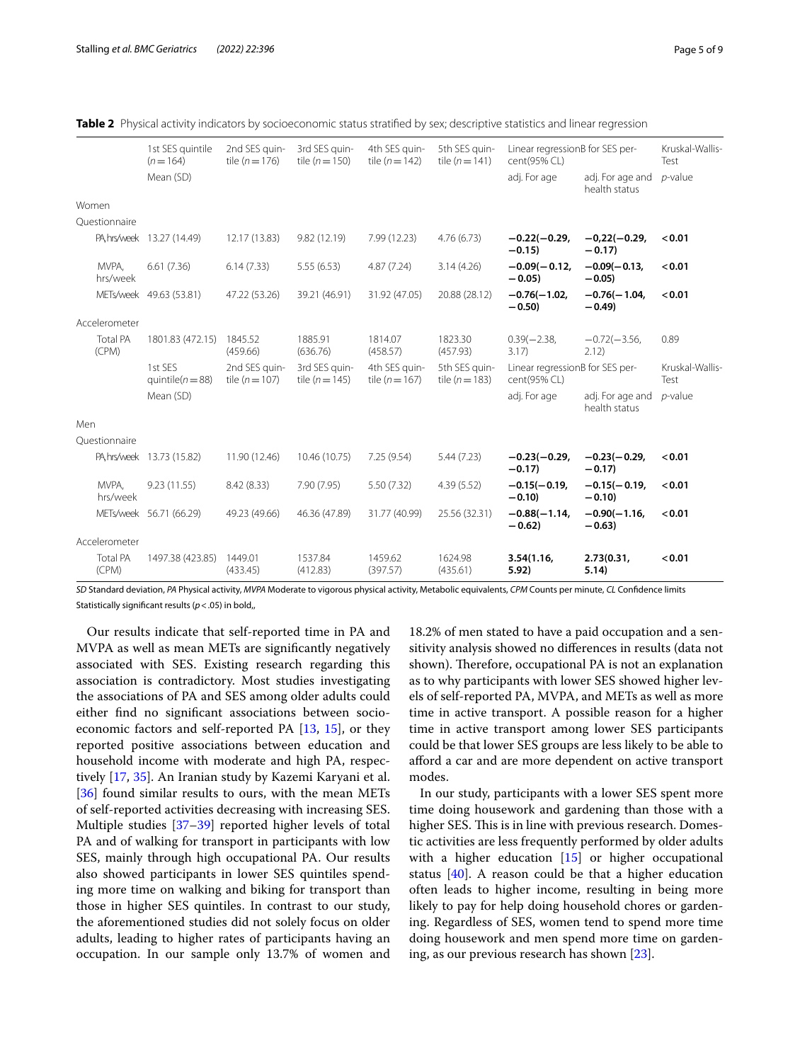<span id="page-4-0"></span>

|  |  | Table 2 Physical activity indicators by socioeconomic status stratified by sex: descriptive statistics and linear regression |  |  |  |
|--|--|------------------------------------------------------------------------------------------------------------------------------|--|--|--|
|  |  |                                                                                                                              |  |  |  |

|     |                          | 1st SES quintile<br>$(n=164)$   | 2nd SES guin-<br>tile $(n=176)$     | 3rd SES quin-<br>tile $(n=150)$     | 4th SES guin-<br>tile $(n=142)$     | 5th SES quin-<br>tile $(n = 141)$   | Linear regressionB for SES per-<br>cent(95% CL) |                                   | Kruskal-Wallis-<br>Test |
|-----|--------------------------|---------------------------------|-------------------------------------|-------------------------------------|-------------------------------------|-------------------------------------|-------------------------------------------------|-----------------------------------|-------------------------|
|     |                          | Mean (SD)                       |                                     |                                     |                                     |                                     | adj. For age                                    | adj. For age and<br>health status | $p$ -value              |
|     | Women                    |                                 |                                     |                                     |                                     |                                     |                                                 |                                   |                         |
|     | Ouestionnaire            |                                 |                                     |                                     |                                     |                                     |                                                 |                                   |                         |
|     |                          | PA, hrs/week 13.27 (14.49)      | 12.17 (13.83)                       | 9.82(12.19)                         | 7.99 (12.23)                        | 4.76(6.73)                          | $-0.22(-0.29,$<br>$-0.15$                       | $-0,22(-0.29,$<br>$-0.17$         | < 0.01                  |
|     | MVPA,<br>hrs/week        | 6.61(7.36)                      | 6.14(7.33)                          | 5.55(6.53)                          | 4.87(7.24)                          | 3.14(4.26)                          | $-0.09(-0.12,$<br>$-0.05$                       | $-0.09(-0.13,$<br>$-0.05$         | < 0.01                  |
|     |                          | METs/week 49.63 (53.81)         | 47.22 (53.26)                       | 39.21 (46.91)                       | 31.92 (47.05)                       | 20.88 (28.12)                       | $-0.76(-1.02.$<br>$-0.50$                       | $-0.76(-1.04.$<br>$-0.49$         | < 0.01                  |
|     | Accelerometer            |                                 |                                     |                                     |                                     |                                     |                                                 |                                   |                         |
|     | <b>Total PA</b><br>(CPM) | 1801.83 (472.15)                | 1845.52<br>(459.66)                 | 1885.91<br>(636.76)                 | 1814.07<br>(458.57)                 | 1823.30<br>(457.93)                 | $0.39(-2.38,$<br>3.17)                          | $-0.72(-3.56,$<br>2.12)           | 0.89                    |
|     |                          | 1st SES<br>quintile( $n = 88$ ) | 2nd SES quin-<br>tile ( $n = 107$ ) | 3rd SES quin-<br>tile ( $n = 145$ ) | 4th SES quin-<br>tile ( $n = 167$ ) | 5th SES quin-<br>tile ( $n = 183$ ) | Linear regressionB for SES per-<br>cent(95% CL) |                                   | Kruskal-Wallis-<br>Test |
|     |                          | Mean (SD)                       |                                     |                                     |                                     |                                     | adj. For age                                    | adj. For age and<br>health status | $p$ -value              |
| Men |                          |                                 |                                     |                                     |                                     |                                     |                                                 |                                   |                         |
|     | Questionnaire            |                                 |                                     |                                     |                                     |                                     |                                                 |                                   |                         |
|     |                          | PA, hrs/week 13.73 (15.82)      | 11.90 (12.46)                       | 10.46 (10.75)                       | 7.25(9.54)                          | 5.44(7.23)                          | $-0.23(-0.29,$<br>$-0.17$                       | $-0.23(-0.29,$<br>$-0.17$         | < 0.01                  |
|     | MVPA.<br>hrs/week        | 9.23(11.55)                     | 8.42(8.33)                          | 7.90 (7.95)                         | 5.50(7.32)                          | 4.39(5.52)                          | $-0.15(-0.19,$<br>$-0.10$                       | $-0.15(-0.19,$<br>$-0.10$         | < 0.01                  |
|     |                          | METs/week 56.71 (66.29)         | 49.23 (49.66)                       | 46.36 (47.89)                       | 31.77 (40.99)                       | 25.56 (32.31)                       | $-0.88(-1.14,$<br>$-0.62$                       | $-0.90(-1.16,$<br>$-0.63$         | < 0.01                  |
|     | Accelerometer            |                                 |                                     |                                     |                                     |                                     |                                                 |                                   |                         |
|     | <b>Total PA</b><br>(CPM) | 1497.38 (423.85)                | 1449.01<br>(433.45)                 | 1537.84<br>(412.83)                 | 1459.62<br>(397.57)                 | 1624.98<br>(435.61)                 | 3.54(1.16,<br>5.92)                             | 2.73(0.31,<br>5.14)               | < 0.01                  |

*SD* Standard deviation, *PA* Physical activity, *MVPA* Moderate to vigorous physical activity, Metabolic equivalents, *CPM* Counts per minute, *CL* Confdence limits Statistically signifcant results (*p*<.05) in bold,,

Our results indicate that self-reported time in PA and MVPA as well as mean METs are signifcantly negatively associated with SES. Existing research regarding this association is contradictory. Most studies investigating the associations of PA and SES among older adults could either fnd no signifcant associations between socioeconomic factors and self-reported PA [[13,](#page-7-12) [15](#page-7-14)], or they reported positive associations between education and household income with moderate and high PA, respectively [[17](#page-7-16), [35](#page-8-11)]. An Iranian study by Kazemi Karyani et al. [[36\]](#page-8-12) found similar results to ours, with the mean METs of self-reported activities decreasing with increasing SES. Multiple studies [\[37](#page-8-13)–[39\]](#page-8-14) reported higher levels of total PA and of walking for transport in participants with low SES, mainly through high occupational PA. Our results also showed participants in lower SES quintiles spending more time on walking and biking for transport than those in higher SES quintiles. In contrast to our study, the aforementioned studies did not solely focus on older adults, leading to higher rates of participants having an occupation. In our sample only 13.7% of women and

18.2% of men stated to have a paid occupation and a sensitivity analysis showed no diferences in results (data not shown). Therefore, occupational PA is not an explanation as to why participants with lower SES showed higher levels of self-reported PA, MVPA, and METs as well as more time in active transport. A possible reason for a higher time in active transport among lower SES participants could be that lower SES groups are less likely to be able to aford a car and are more dependent on active transport modes.

In our study, participants with a lower SES spent more time doing housework and gardening than those with a higher SES. This is in line with previous research. Domestic activities are less frequently performed by older adults with a higher education [\[15](#page-7-14)] or higher occupational status [[40\]](#page-8-15). A reason could be that a higher education often leads to higher income, resulting in being more likely to pay for help doing household chores or gardening. Regardless of SES, women tend to spend more time doing housework and men spend more time on gardening, as our previous research has shown [\[23](#page-7-21)].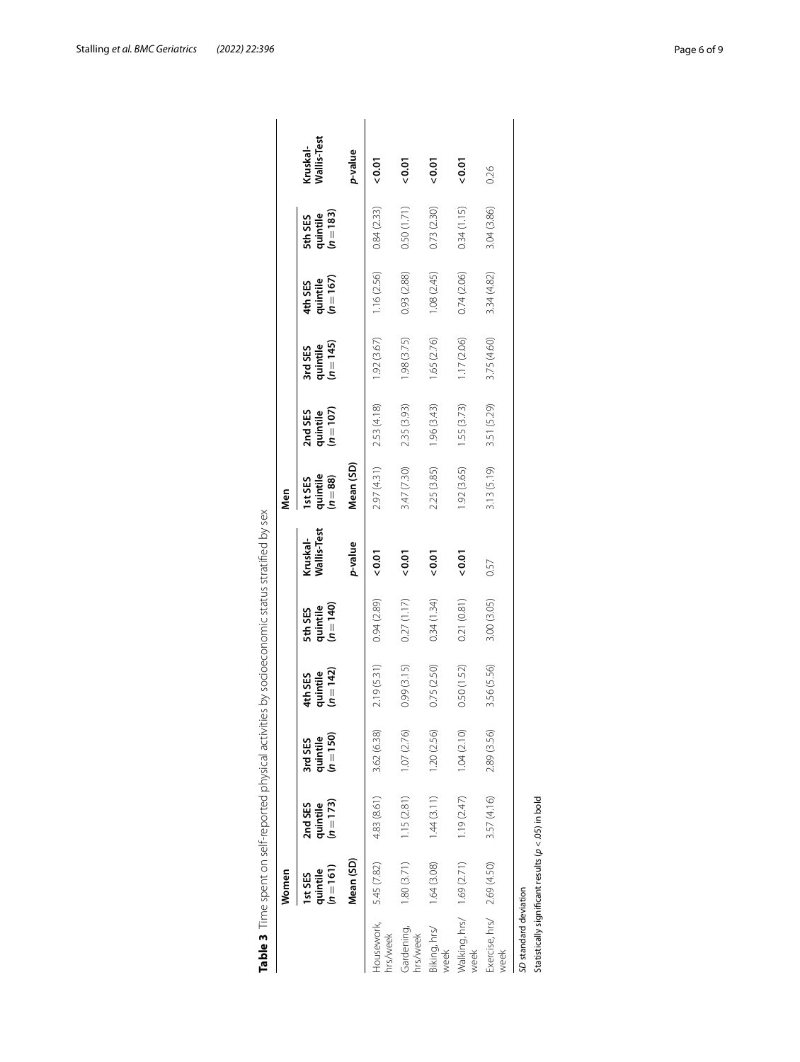|                        | Women                                  |                                  |                                  |                                  |                                  |                         | Men                            |                                  |                                    |                                  |                                  |                         |
|------------------------|----------------------------------------|----------------------------------|----------------------------------|----------------------------------|----------------------------------|-------------------------|--------------------------------|----------------------------------|------------------------------------|----------------------------------|----------------------------------|-------------------------|
|                        | $(n=161)$<br>quintile<br><b>IstSES</b> | quintile<br>$(n=173)$<br>2nd SES | quintile<br>$(n=150)$<br>3rd SES | quintile<br>$(n=142)$<br>4th SES | quintile<br>$(n=140)$<br>5th SES | Kruskal-<br>Wallis-Test | quintile<br>$(n=88)$<br>IstSES | 2nd SES<br>quintile<br>$(n=107)$ | 3rd SES<br>quintile<br>$(n = 145)$ | quintile<br>$(n=167)$<br>4th SES | quintile<br>$(n=183)$<br>5th SES | Wallis-Test<br>Kruskal- |
|                        | Mean (SD)                              |                                  |                                  |                                  |                                  | p-value                 | Mean (SD)                      |                                  |                                    |                                  |                                  | p-value                 |
| Housework,<br>hrs/week | 5.45 (7.82)                            | 4.83 (8.61)                      | 3.62 (6.38)                      | 2.19 (5.31)                      | 0.94(2.89)                       | 0.01                    | 2.97 (4.31)                    | 2.53 (4.18)                      | 1.92(3.67)                         | 1.16 (2.56)                      | 0.84(2.33)                       | 0.01                    |
| Gardening,<br>hrs/week | 1.80(3.71)                             | 1.15(2.81)                       | 1.07(2.76)                       | 0.99 (3.15)                      | 0.27(1.17)                       | 0.01                    | 3.47 (7.30)                    | 2.35 (3.93)                      | 1.98(3.75)                         | 0.93 (2.88)                      | 0.50 (1.71)                      | 0.01                    |
| Biking, hrs/<br>week   | 1.64(3.08)                             | 1.44(3.11)                       | 1.20 (2.56)                      | 0.75(2.50)                       | 0.34(1.34)                       | 0.07                    | 2.25 (3.85)                    | 1.96 (3.43)                      | 1.65 (2.76)                        | 1.08(2.45)                       | 0.73 (2.30)                      | 0.01                    |
| week                   | Walking, hrs/ 1.69 (2.71)              | 1.19(2.47)                       | 1.04(2.10)                       | 0.50 (1.52)                      | 0.21(0.81)                       | 0.01                    | 1.92 (3.65)                    | 1.55 (3.73)                      | 1.17(2.06)                         | 0.74(2.06)                       | 0.34(1.15)                       | 0.01                    |
| week                   | Exercise, hrs/ 2.69 (4.50)             | 3.57 (4.16)                      | 2.89 (3.56)                      | 3.56 (5.56)                      | 3.00 (3.05)                      | 0.57                    | 3.13 (5.19)                    | 3.51 (5.29)                      | 3.75(4.60)                         | 3.34 (4.82)                      | 3.04 (3.86)                      | 0.26                    |

<span id="page-5-0"></span>

|   | $\frac{1}{2}$                                                                                                                                                                                                                  |
|---|--------------------------------------------------------------------------------------------------------------------------------------------------------------------------------------------------------------------------------|
|   |                                                                                                                                                                                                                                |
|   |                                                                                                                                                                                                                                |
|   |                                                                                                                                                                                                                                |
|   |                                                                                                                                                                                                                                |
|   |                                                                                                                                                                                                                                |
|   |                                                                                                                                                                                                                                |
|   |                                                                                                                                                                                                                                |
|   |                                                                                                                                                                                                                                |
|   |                                                                                                                                                                                                                                |
|   |                                                                                                                                                                                                                                |
|   |                                                                                                                                                                                                                                |
|   | らりりり                                                                                                                                                                                                                           |
|   |                                                                                                                                                                                                                                |
|   |                                                                                                                                                                                                                                |
|   |                                                                                                                                                                                                                                |
|   | $\frac{1}{2}$                                                                                                                                                                                                                  |
|   |                                                                                                                                                                                                                                |
|   |                                                                                                                                                                                                                                |
|   |                                                                                                                                                                                                                                |
|   |                                                                                                                                                                                                                                |
|   |                                                                                                                                                                                                                                |
|   |                                                                                                                                                                                                                                |
|   |                                                                                                                                                                                                                                |
|   |                                                                                                                                                                                                                                |
|   |                                                                                                                                                                                                                                |
|   |                                                                                                                                                                                                                                |
|   |                                                                                                                                                                                                                                |
|   |                                                                                                                                                                                                                                |
|   |                                                                                                                                                                                                                                |
|   |                                                                                                                                                                                                                                |
|   |                                                                                                                                                                                                                                |
|   | ı                                                                                                                                                                                                                              |
|   |                                                                                                                                                                                                                                |
|   |                                                                                                                                                                                                                                |
|   |                                                                                                                                                                                                                                |
|   |                                                                                                                                                                                                                                |
|   | )<br>)<br>:                                                                                                                                                                                                                    |
|   |                                                                                                                                                                                                                                |
|   |                                                                                                                                                                                                                                |
|   |                                                                                                                                                                                                                                |
|   |                                                                                                                                                                                                                                |
|   |                                                                                                                                                                                                                                |
|   |                                                                                                                                                                                                                                |
|   | j                                                                                                                                                                                                                              |
|   |                                                                                                                                                                                                                                |
|   |                                                                                                                                                                                                                                |
|   |                                                                                                                                                                                                                                |
|   | $\frac{1}{2}$                                                                                                                                                                                                                  |
|   |                                                                                                                                                                                                                                |
|   |                                                                                                                                                                                                                                |
|   |                                                                                                                                                                                                                                |
|   |                                                                                                                                                                                                                                |
|   |                                                                                                                                                                                                                                |
|   |                                                                                                                                                                                                                                |
|   |                                                                                                                                                                                                                                |
|   |                                                                                                                                                                                                                                |
|   |                                                                                                                                                                                                                                |
|   |                                                                                                                                                                                                                                |
|   | I                                                                                                                                                                                                                              |
|   |                                                                                                                                                                                                                                |
|   | ۱                                                                                                                                                                                                                              |
|   |                                                                                                                                                                                                                                |
|   |                                                                                                                                                                                                                                |
|   |                                                                                                                                                                                                                                |
| İ | CONFIDENTIAL TERRITORY CONFIDENTIAL CONFIDENTIAL TRANSITION TO A PARTICLE AND A CONFIDENTIAL CONFIDENTIAL CONFIDENTIAL CONFIDENTIAL CONFIDENTIAL CONFIDENTIAL CONFIDENTIAL CONFIDENTIAL CONFIDENTIAL CONFIDENTIAL CONFIDENTIAL |
|   |                                                                                                                                                                                                                                |
|   | _<br>ო<br>ï<br>d                                                                                                                                                                                                               |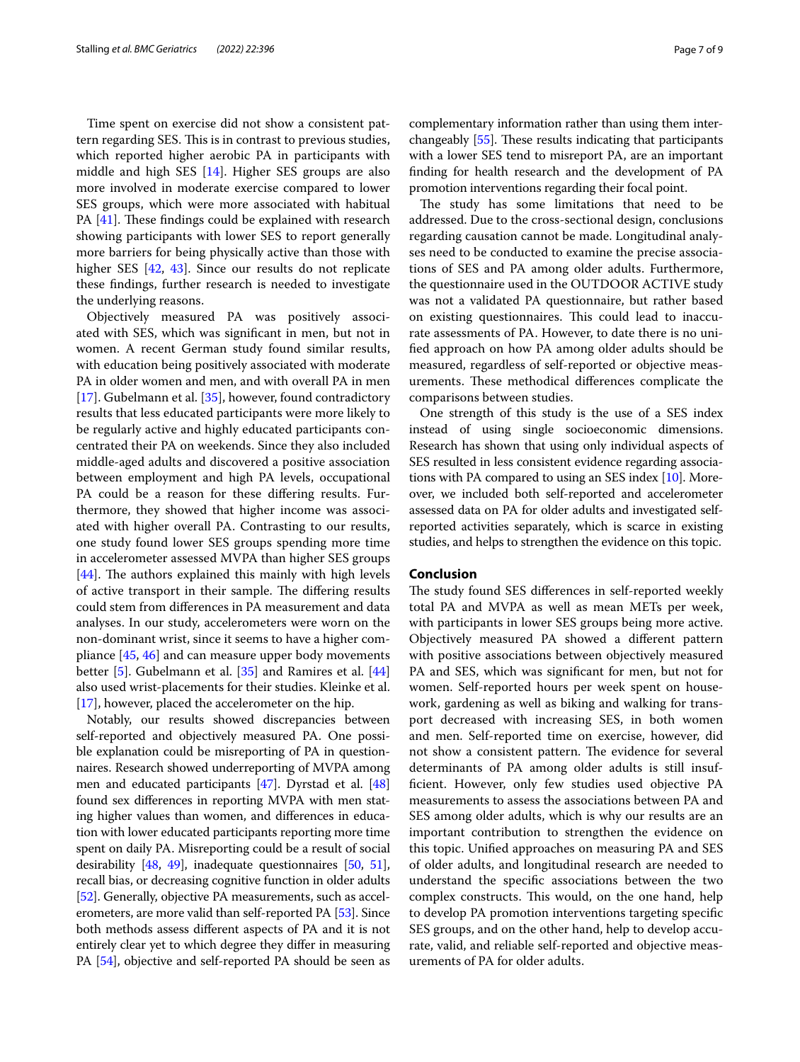Time spent on exercise did not show a consistent pattern regarding SES. This is in contrast to previous studies, which reported higher aerobic PA in participants with middle and high SES [[14\]](#page-7-13). Higher SES groups are also more involved in moderate exercise compared to lower SES groups, which were more associated with habitual PA  $[41]$  $[41]$  $[41]$ . These findings could be explained with research showing participants with lower SES to report generally more barriers for being physically active than those with higher SES [\[42](#page-8-17), [43\]](#page-8-18). Since our results do not replicate these fndings, further research is needed to investigate the underlying reasons.

Objectively measured PA was positively associated with SES, which was signifcant in men, but not in women. A recent German study found similar results, with education being positively associated with moderate PA in older women and men, and with overall PA in men [[17\]](#page-7-16). Gubelmann et al.  $[35]$  $[35]$  $[35]$ , however, found contradictory results that less educated participants were more likely to be regularly active and highly educated participants concentrated their PA on weekends. Since they also included middle-aged adults and discovered a positive association between employment and high PA levels, occupational PA could be a reason for these difering results. Furthermore, they showed that higher income was associated with higher overall PA. Contrasting to our results, one study found lower SES groups spending more time in accelerometer assessed MVPA than higher SES groups  $[44]$  $[44]$ . The authors explained this mainly with high levels of active transport in their sample. The differing results could stem from diferences in PA measurement and data analyses. In our study, accelerometers were worn on the non-dominant wrist, since it seems to have a higher compliance [[45](#page-8-20), [46](#page-8-21)] and can measure upper body movements better [\[5](#page-7-4)]. Gubelmann et al. [\[35](#page-8-11)] and Ramires et al. [[44](#page-8-19)] also used wrist-placements for their studies. Kleinke et al. [[17\]](#page-7-16), however, placed the accelerometer on the hip.

Notably, our results showed discrepancies between self-reported and objectively measured PA. One possible explanation could be misreporting of PA in questionnaires. Research showed underreporting of MVPA among men and educated participants [\[47\]](#page-8-22). Dyrstad et al. [[48](#page-8-23)] found sex diferences in reporting MVPA with men stating higher values than women, and diferences in education with lower educated participants reporting more time spent on daily PA. Misreporting could be a result of social desirability [\[48,](#page-8-23) [49](#page-8-24)], inadequate questionnaires [\[50,](#page-8-25) [51](#page-8-26)], recall bias, or decreasing cognitive function in older adults [[52](#page-8-27)]. Generally, objective PA measurements, such as accelerometers, are more valid than self-reported PA [\[53\]](#page-8-28). Since both methods assess diferent aspects of PA and it is not entirely clear yet to which degree they difer in measuring PA [[54](#page-8-29)], objective and self-reported PA should be seen as complementary information rather than using them interchangeably  $[55]$  $[55]$ . These results indicating that participants with a lower SES tend to misreport PA, are an important fnding for health research and the development of PA promotion interventions regarding their focal point.

The study has some limitations that need to be addressed. Due to the cross-sectional design, conclusions regarding causation cannot be made. Longitudinal analyses need to be conducted to examine the precise associations of SES and PA among older adults. Furthermore, the questionnaire used in the OUTDOOR ACTIVE study was not a validated PA questionnaire, but rather based on existing questionnaires. This could lead to inaccurate assessments of PA. However, to date there is no unifed approach on how PA among older adults should be measured, regardless of self-reported or objective measurements. These methodical differences complicate the comparisons between studies.

One strength of this study is the use of a SES index instead of using single socioeconomic dimensions. Research has shown that using only individual aspects of SES resulted in less consistent evidence regarding associations with PA compared to using an SES index [[10](#page-7-9)]. Moreover, we included both self-reported and accelerometer assessed data on PA for older adults and investigated selfreported activities separately, which is scarce in existing studies, and helps to strengthen the evidence on this topic.

## **Conclusion**

The study found SES differences in self-reported weekly total PA and MVPA as well as mean METs per week, with participants in lower SES groups being more active. Objectively measured PA showed a diferent pattern with positive associations between objectively measured PA and SES, which was signifcant for men, but not for women. Self-reported hours per week spent on housework, gardening as well as biking and walking for transport decreased with increasing SES, in both women and men. Self-reported time on exercise, however, did not show a consistent pattern. The evidence for several determinants of PA among older adults is still insuffcient. However, only few studies used objective PA measurements to assess the associations between PA and SES among older adults, which is why our results are an important contribution to strengthen the evidence on this topic. Unifed approaches on measuring PA and SES of older adults, and longitudinal research are needed to understand the specifc associations between the two complex constructs. This would, on the one hand, help to develop PA promotion interventions targeting specifc SES groups, and on the other hand, help to develop accurate, valid, and reliable self-reported and objective measurements of PA for older adults.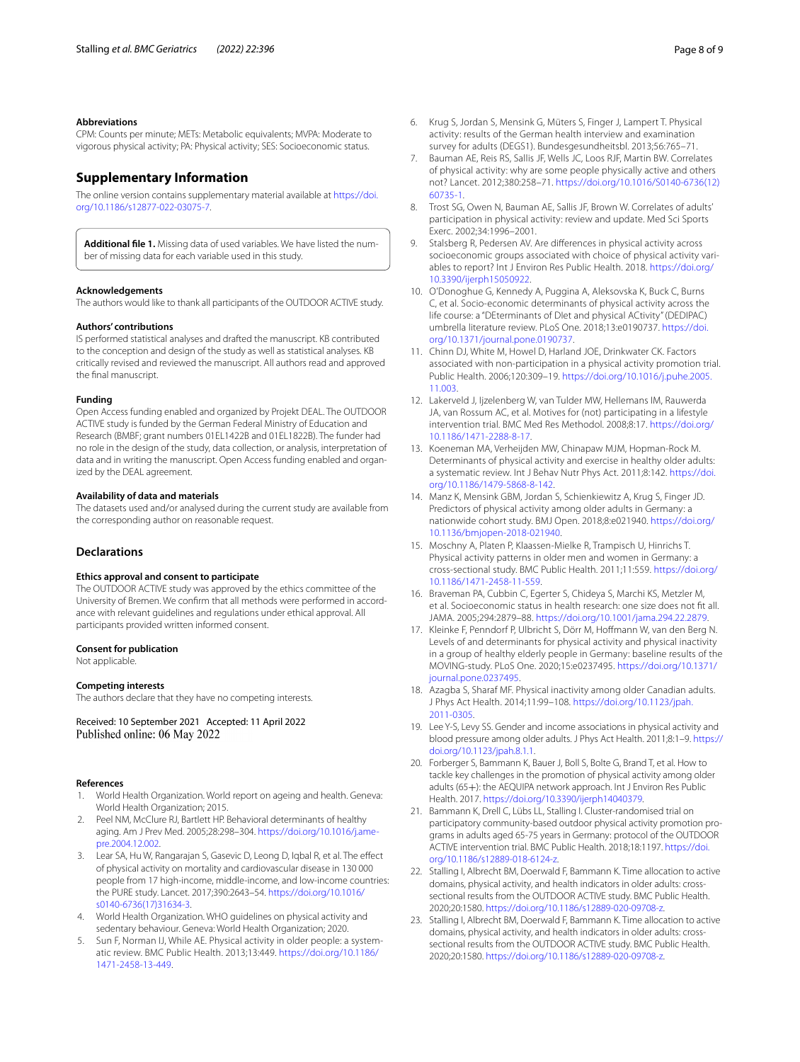#### **Abbreviations**

CPM: Counts per minute; METs: Metabolic equivalents; MVPA: Moderate to vigorous physical activity; PA: Physical activity; SES: Socioeconomic status.

## **Supplementary Information**

The online version contains supplementary material available at [https://doi.](https://doi.org/10.1186/s12877-022-03075-7) [org/10.1186/s12877-022-03075-7](https://doi.org/10.1186/s12877-022-03075-7).

<span id="page-7-22"></span>**Additional fle 1.** Missing data of used variables. We have listed the number of missing data for each variable used in this study.

#### **Acknowledgements**

The authors would like to thank all participants of the OUTDOOR ACTIVE study.

#### **Authors' contributions**

IS performed statistical analyses and drafted the manuscript. KB contributed to the conception and design of the study as well as statistical analyses. KB critically revised and reviewed the manuscript. All authors read and approved the fnal manuscript.

#### **Funding**

Open Access funding enabled and organized by Projekt DEAL. The OUTDOOR ACTIVE study is funded by the German Federal Ministry of Education and Research (BMBF; grant numbers 01EL1422B and 01EL1822B). The funder had no role in the design of the study, data collection, or analysis, interpretation of data and in writing the manuscript. Open Access funding enabled and organized by the DEAL agreement.

#### **Availability of data and materials**

The datasets used and/or analysed during the current study are available from the corresponding author on reasonable request.

## **Declarations**

## **Ethics approval and consent to participate**

The OUTDOOR ACTIVE study was approved by the ethics committee of the University of Bremen. We confrm that all methods were performed in accordance with relevant guidelines and regulations under ethical approval. All participants provided written informed consent.

#### **Consent for publication**

Not applicable.

#### **Competing interests**

The authors declare that they have no competing interests.

Received: 10 September 2021 Accepted: 11 April 2022 Published online: 06 May 2022

#### **References**

- <span id="page-7-0"></span>1. World Health Organization. World report on ageing and health. Geneva: World Health Organization; 2015.
- <span id="page-7-1"></span>2. Peel NM, McClure RJ, Bartlett HP. Behavioral determinants of healthy aging. Am J Prev Med. 2005;28:298–304. [https://doi.org/10.1016/j.ame](https://doi.org/10.1016/j.amepre.2004.12.002)[pre.2004.12.002](https://doi.org/10.1016/j.amepre.2004.12.002).
- <span id="page-7-2"></span>3. Lear SA, Hu W, Rangarajan S, Gasevic D, Leong D, Iqbal R, et al. The efect of physical activity on mortality and cardiovascular disease in 130 000 people from 17 high-income, middle-income, and low-income countries: the PURE study. Lancet. 2017;390:2643–54. [https://doi.org/10.1016/](https://doi.org/10.1016/s0140-6736(17)31634-3) [s0140-6736\(17\)31634-3](https://doi.org/10.1016/s0140-6736(17)31634-3).
- <span id="page-7-3"></span>4. World Health Organization. WHO guidelines on physical activity and sedentary behaviour. Geneva: World Health Organization; 2020.
- <span id="page-7-4"></span>5. Sun F, Norman IJ, While AE. Physical activity in older people: a systematic review. BMC Public Health. 2013;13:449. [https://doi.org/10.1186/](https://doi.org/10.1186/1471-2458-13-449) [1471-2458-13-449.](https://doi.org/10.1186/1471-2458-13-449)
- <span id="page-7-5"></span>6. Krug S, Jordan S, Mensink G, Müters S, Finger J, Lampert T. Physical activity: results of the German health interview and examination survey for adults (DEGS1). Bundesgesundheitsbl. 2013;56:765–71.
- <span id="page-7-6"></span>7. Bauman AE, Reis RS, Sallis JF, Wells JC, Loos RJF, Martin BW. Correlates of physical activity: why are some people physically active and others not? Lancet. 2012;380:258–71. [https://doi.org/10.1016/S0140-6736\(12\)](https://doi.org/10.1016/S0140-6736(12)60735-1) [60735-1.](https://doi.org/10.1016/S0140-6736(12)60735-1)
- <span id="page-7-7"></span>8. Trost SG, Owen N, Bauman AE, Sallis JF, Brown W. Correlates of adults' participation in physical activity: review and update. Med Sci Sports Exerc. 2002;34:1996–2001.
- <span id="page-7-8"></span>9. Stalsberg R, Pedersen AV. Are diferences in physical activity across socioeconomic groups associated with choice of physical activity variables to report? Int J Environ Res Public Health. 2018. [https://doi.org/](https://doi.org/10.3390/ijerph15050922) [10.3390/ijerph15050922](https://doi.org/10.3390/ijerph15050922).
- <span id="page-7-9"></span>10. O'Donoghue G, Kennedy A, Puggina A, Aleksovska K, Buck C, Burns C, et al. Socio-economic determinants of physical activity across the life course: a "DEterminants of DIet and physical ACtivity" (DEDIPAC) umbrella literature review. PLoS One. 2018;13:e0190737. [https://doi.](https://doi.org/10.1371/journal.pone.0190737) [org/10.1371/journal.pone.0190737.](https://doi.org/10.1371/journal.pone.0190737)
- <span id="page-7-10"></span>11. Chinn DJ, White M, Howel D, Harland JOE, Drinkwater CK. Factors associated with non-participation in a physical activity promotion trial. Public Health. 2006;120:309–19. [https://doi.org/10.1016/j.puhe.2005.](https://doi.org/10.1016/j.puhe.2005.11.003) [11.003.](https://doi.org/10.1016/j.puhe.2005.11.003)
- <span id="page-7-11"></span>12. Lakerveld J, Ijzelenberg W, van Tulder MW, Hellemans IM, Rauwerda JA, van Rossum AC, et al. Motives for (not) participating in a lifestyle intervention trial. BMC Med Res Methodol. 2008;8:17. [https://doi.org/](https://doi.org/10.1186/1471-2288-8-17) [10.1186/1471-2288-8-17.](https://doi.org/10.1186/1471-2288-8-17)
- <span id="page-7-12"></span>13. Koeneman MA, Verheijden MW, Chinapaw MJM, Hopman-Rock M. Determinants of physical activity and exercise in healthy older adults: a systematic review. Int J Behav Nutr Phys Act. 2011;8:142. [https://doi.](https://doi.org/10.1186/1479-5868-8-142) [org/10.1186/1479-5868-8-142.](https://doi.org/10.1186/1479-5868-8-142)
- <span id="page-7-13"></span>14. Manz K, Mensink GBM, Jordan S, Schienkiewitz A, Krug S, Finger JD. Predictors of physical activity among older adults in Germany: a nationwide cohort study. BMJ Open. 2018;8:e021940. [https://doi.org/](https://doi.org/10.1136/bmjopen-2018-021940) [10.1136/bmjopen-2018-021940](https://doi.org/10.1136/bmjopen-2018-021940).
- <span id="page-7-14"></span>15. Moschny A, Platen P, Klaassen-Mielke R, Trampisch U, Hinrichs T. Physical activity patterns in older men and women in Germany: a cross-sectional study. BMC Public Health. 2011;11:559. [https://doi.org/](https://doi.org/10.1186/1471-2458-11-559) [10.1186/1471-2458-11-559](https://doi.org/10.1186/1471-2458-11-559).
- <span id="page-7-15"></span>16. Braveman PA, Cubbin C, Egerter S, Chideya S, Marchi KS, Metzler M, et al. Socioeconomic status in health research: one size does not ft all. JAMA. 2005;294:2879–88. [https://doi.org/10.1001/jama.294.22.2879.](https://doi.org/10.1001/jama.294.22.2879)
- <span id="page-7-16"></span>17. Kleinke F, Penndorf P, Ulbricht S, Dörr M, Hofmann W, van den Berg N. Levels of and determinants for physical activity and physical inactivity in a group of healthy elderly people in Germany: baseline results of the MOVING-study. PLoS One. 2020;15:e0237495. [https://doi.org/10.1371/](https://doi.org/10.1371/journal.pone.0237495) [journal.pone.0237495.](https://doi.org/10.1371/journal.pone.0237495)
- 18. Azagba S, Sharaf MF. Physical inactivity among older Canadian adults. J Phys Act Health. 2014;11:99–108. [https://doi.org/10.1123/jpah.](https://doi.org/10.1123/jpah.2011-0305) [2011-0305](https://doi.org/10.1123/jpah.2011-0305).
- <span id="page-7-17"></span>19. Lee Y-S, Levy SS. Gender and income associations in physical activity and blood pressure among older adults. J Phys Act Health. 2011;8:1–9. [https://](https://doi.org/10.1123/jpah.8.1.1) [doi.org/10.1123/jpah.8.1.1](https://doi.org/10.1123/jpah.8.1.1).
- <span id="page-7-18"></span>20. Forberger S, Bammann K, Bauer J, Boll S, Bolte G, Brand T, et al. How to tackle key challenges in the promotion of physical activity among older adults (65+): the AEQUIPA network approach. Int J Environ Res Public Health. 2017. <https://doi.org/10.3390/ijerph14040379>.
- <span id="page-7-19"></span>21. Bammann K, Drell C, Lübs LL, Stalling I. Cluster-randomised trial on participatory community-based outdoor physical activity promotion programs in adults aged 65-75 years in Germany: protocol of the OUTDOOR ACTIVE intervention trial. BMC Public Health. 2018;18:1197. [https://doi.](https://doi.org/10.1186/s12889-018-6124-z) [org/10.1186/s12889-018-6124-z.](https://doi.org/10.1186/s12889-018-6124-z)
- <span id="page-7-20"></span>22. Stalling I, Albrecht BM, Doerwald F, Bammann K. Time allocation to active domains, physical activity, and health indicators in older adults: crosssectional results from the OUTDOOR ACTIVE study. BMC Public Health. 2020;20:1580. [https://doi.org/10.1186/s12889-020-09708-z.](https://doi.org/10.1186/s12889-020-09708-z)
- <span id="page-7-21"></span>23. Stalling I, Albrecht BM, Doerwald F, Bammann K. Time allocation to active domains, physical activity, and health indicators in older adults: crosssectional results from the OUTDOOR ACTIVE study. BMC Public Health. 2020;20:1580. [https://doi.org/10.1186/s12889-020-09708-z.](https://doi.org/10.1186/s12889-020-09708-z)